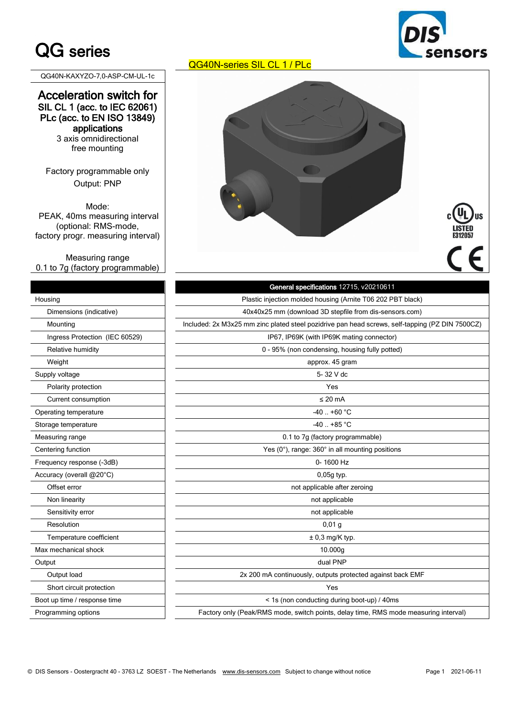## QG series

QG40N-KAXYZO-7,0-ASP-CM-UL-1c

### Acceleration switch for SIL CL 1 (acc. to IEC 62061) PLc (acc. to EN ISO 13849) applications

3 axis omnidirectional free mounting

Factory programmable only Output: PNP

Mode: PEAK, 40ms measuring interval (optional: RMS-mode, factory progr. measuring interval)

Measuring range 0.1 to 7g (factory programmable)

## Dimensions (indicative) Ingress Protection (IEC 60529) Relative humidity Supply voltage Polarity protection Current consumption Operating temperature Storage temperature Measuring range Centering function Frequency response (-3dB) Accuracy (overall  $@20^{\circ}$ C) Offset error Non linearity Sensitivity error Resolution Temperature coefficient Max mechanical shock Short circuit protection Boot up time / response time Programming options



**US** 



|                                | General specifications 12715, v20210611                                                         |  |  |
|--------------------------------|-------------------------------------------------------------------------------------------------|--|--|
| Housing                        | Plastic injection molded housing (Arnite T06 202 PBT black)                                     |  |  |
| Dimensions (indicative)        | 40x40x25 mm (download 3D stepfile from dis-sensors.com)                                         |  |  |
| Mounting                       | Included: 2x M3x25 mm zinc plated steel pozidrive pan head screws, self-tapping (PZ DIN 7500CZ) |  |  |
| Ingress Protection (IEC 60529) | IP67, IP69K (with IP69K mating connector)                                                       |  |  |
| Relative humidity              | 0 - 95% (non condensing, housing fully potted)                                                  |  |  |
| Weight                         | approx. 45 gram                                                                                 |  |  |
| Supply voltage                 | 5-32 V dc                                                                                       |  |  |
| Polarity protection            | Yes                                                                                             |  |  |
| Current consumption            | $\leq$ 20 mA                                                                                    |  |  |
| Operating temperature          | $-40. +60 °C$                                                                                   |  |  |
| Storage temperature            | $-40$ $+85$ °C                                                                                  |  |  |
| Measuring range                | 0.1 to 7g (factory programmable)                                                                |  |  |
| Centering function             | Yes $(0^{\circ})$ , range: $360^{\circ}$ in all mounting positions                              |  |  |
| Frequency response (-3dB)      | 0-1600 Hz                                                                                       |  |  |
| Accuracy (overall @20°C)       | $0,05q$ typ.                                                                                    |  |  |
| Offset error                   | not applicable after zeroing                                                                    |  |  |
| Non linearity                  | not applicable                                                                                  |  |  |
| Sensitivity error              | not applicable                                                                                  |  |  |
| Resolution                     | $0,01$ g                                                                                        |  |  |
| Temperature coefficient        | $± 0,3$ mg/K typ.                                                                               |  |  |
| Max mechanical shock           | 10.000g                                                                                         |  |  |
| Output                         | dual PNP                                                                                        |  |  |
| Output load                    | 2x 200 mA continuously, outputs protected against back EMF                                      |  |  |
| Short circuit protection       | Yes                                                                                             |  |  |
| Boot up time / response time   | < 1s (non conducting during boot-up) / 40ms                                                     |  |  |
| Programming options            | Factory only (Peak/RMS mode, switch points, delay time, RMS mode measuring interval)            |  |  |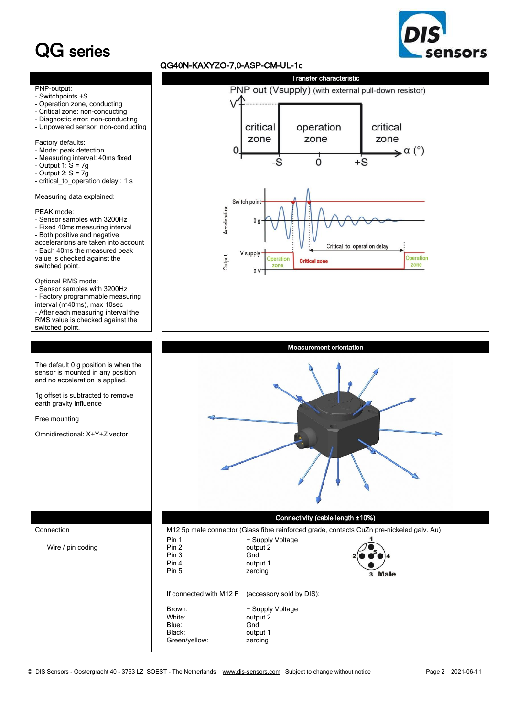# QG series



#### QG40N-KAXYZO-7,0-ASP-CM-UL-1c





1g offset is subtracted to remove earth gravity influence

Free mounting

Omnidirectional: X+Y+Z vector



#### Connectivity (cable length ±10%)

| Connection        |                                                      | M12 5p male connector (Glass fibre reinforced grade, contacts CuZn pre-nickeled galv. Au) |        |  |
|-------------------|------------------------------------------------------|-------------------------------------------------------------------------------------------|--------|--|
| Wire / pin coding | Pin 1:<br>Pin 2:<br>Pin 3:<br>Pin 4:<br>Pin 5:       | + Supply Voltage<br>output 2<br>Gnd<br>output 1<br>zeroing                                | 3 Male |  |
|                   | If connected with M12 F                              | (accessory sold by DIS):                                                                  |        |  |
|                   | Brown:<br>White:<br>Blue:<br>Black:<br>Green/yellow: | + Supply Voltage<br>output 2<br>Gnd<br>output 1<br>zeroing                                |        |  |

l